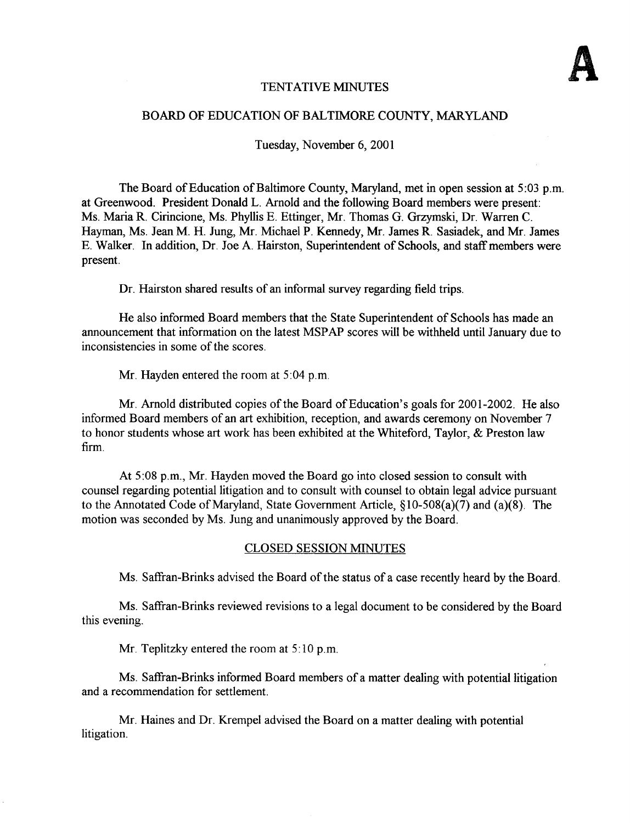### TENTATIVE MINUTES

#### BOARD OF EDUCATION OF BALTIMORE COUNTY, MARYLAND

Tuesday, November 6, 2001

The Board of Education of Baltimore County, Maryland, met in open session at 5:03 p.m. at Greenwood. President Donald L. Arnold and the following Board members were present : Ms. Maria R. Cirincione, Ms. Phyllis E. Ettinger, Mr. Thomas G. Grzymski, Dr. Warren C. Hayman, Ms. Jean M. H. Jung, Mr. Michael P. Kennedy, Mr. James R. Sasiadek, and Mr. James E. Walker. In addition, Dr. Joe A. Hairston, Superintendent of Schools, and staff members were present.

Dr. Hairston shared results of an informal survey regarding field trips.

He also informed Board members that the State Superintendent of Schools has made an announcement that information on the latest MSPAP scores will be withheld until January due to inconsistencies in some of the scores.

Mr. Hayden entered the room at 5:04 p.m.

Mr. Arnold distributed copies of the Board of Education's goals for 2001-2002. He also informed Board members of an art exhibition, reception, and awards ceremony on November 7 to honor students whose art work has been exhibited at the Whiteford, Taylor, & Preston law firm.

At <sup>5</sup> :08 p.m., Mr. Hayden moved the Board go into closed session to consult with counsel regarding potential litigation and to consult with counsel to obtain legal advice pursuant to the Annotated Code of Maryland, State Government Article,  $\S10-508(a)(7)$  and  $(a)(8)$ . The motion was seconded by Ms. Jung and unanimously approved by the Board.

#### CLOSED SESSION MINUTES

Ms. Saffran-Brinks advised the Board of the status of <sup>a</sup> case recently heard by the Board.

Ms. Saffran-Brinks reviewed revisions to <sup>a</sup> legal document to be considered by the Board this evening.

Mr. Teplitzky entered the room at  $5:10$  p.m.

Ms. Saffran-Brinks informed Board members of <sup>a</sup> matter dealing with potential litigation and a recommendation for settlement.

Mr. Haines and Dr. Krempel advised the Board on <sup>a</sup> matter dealing with potential litigation.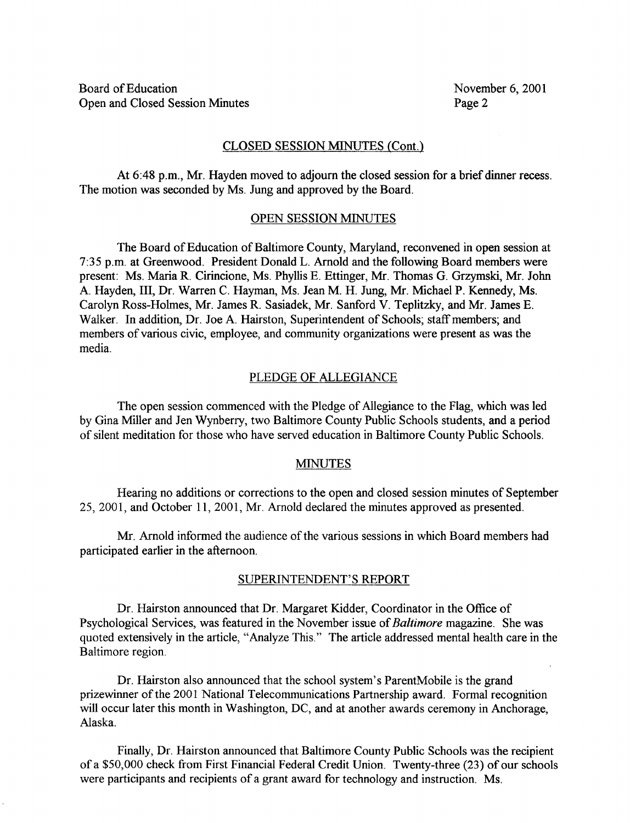#### CLOSED SESSION MINUTES (Cont.)

At 6:48 p.m., Mr. Hayden moved to adjourn the closed session for <sup>a</sup> brief dinner recess . The motion was seconded by Ms. Jung and approved by the Board.

#### OPEN SESSION MINUTES

The Board of Education of Baltimore County, Maryland, reconvened in open session at 7:35 p.m. at Greenwood. President Donald L. Arnold and the following Board members were present: Ms. Maria R. Cirincione, Ms. Phyllis E. Ettinger, Mr. Thomas G. Grzymski, Mr. John A. Hayden, III, Dr. Warren C. Hayman, Ms. Jean M. H. Jung, Mr. Michael P. Kennedy, Ms. Carolyn Ross-Holmes, Mr. James R. Sasiadek, Mr. Sanford V. Teplitzky, and Mr. James E. Walker. In addition, Dr. Joe A. Hairston, Superintendent of Schools; staff members; and members of various civic, employee, and community organizations were present as was the media.

#### PLEDGE OF ALLEGIANCE

The open session commenced with the Pledge of Allegiance to the Flag, which was led by Gina Miller and Jen Wynberry, two Baltimore County Public Schools students, and a period of silent meditation for those who have served education in Baltimore County Public Schools.

#### MINUTES

Hearing no additions or corrections to the open and closed session minutes of September 25, 2001, and October 11, 2001, Mr. Arnold declared the minutes approved as presented .

Mr. Arnold informed the audience of the various sessions in which Board members had participated earlier in the afternoon.

#### SUPERINTENDENT'S REPORT

Dr. Hairston announced that Dr. Margaret Kidder, Coordinator in the Office of Psychological Services, was featured in the November issue of Baltimore magazine. She was quoted extensively in the article, "Analyze This." The article addressed mental health care in the Baltimore region.

Dr. Hairston also announced that the school system's ParentMobile is the grand prizewinner of the 2001 National Telecommunications Partnership award. Formal recognition will occur later this month in Washington, DC, and at another awards ceremony in Anchorage, Alaska.

Finally, Dr. Hairston announced that Baltimore County Public Schools was the recipient of a \$50,000 check from First Financial Federal Credit Union. Twenty-three (23) of our schools were participants and recipients of a grant award for technology and instruction. Ms.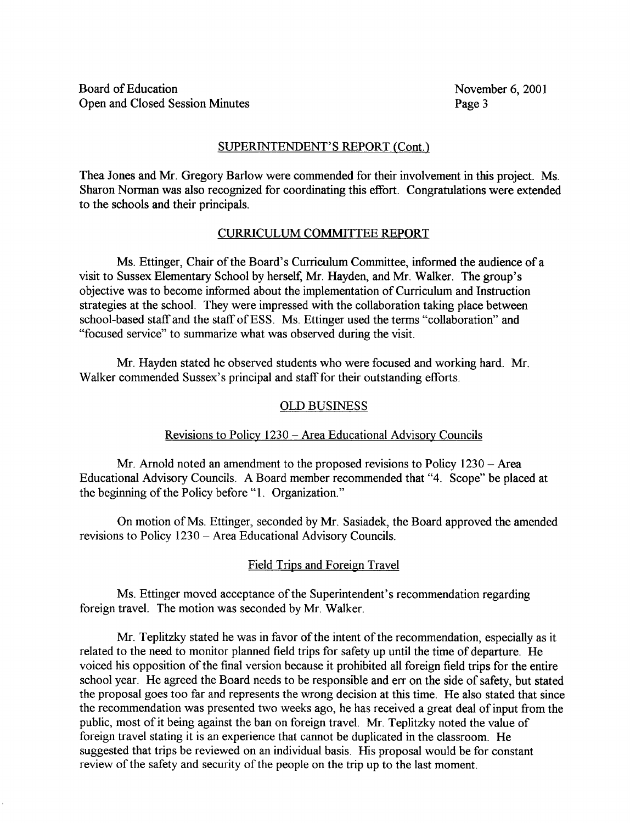### SUPERINTENDENT'S REPORT (Cont.)

Thea Jones and Mr. Gregory Barlow were commended for their involvement in this project . Ms. Sharon Norman was also recognized for coordinating this effort. Congratulations were extended to the schools and their principals.

## CURRICULUM COMMITTEE REPORT

Ms. Ettinger, Chair of the Board's Curriculum Committee, informed the audience of a visit to Sussex Elementary School by herself, Mr. Hayden, and Mr. Walker. The group's objective was to become informed about the implementation of Curriculum and Instruction strategies at the school. They were impressed with the collaboration taking place between school-based staff and the staff of ESS. Ms. Ettinger used the terms "collaboration" and "focused service" to summarize what was observed during the visit.

Mr. Hayden stated he observed students who were focused and working hard. Mr. Walker commended Sussex's principal and staff for their outstanding efforts.

### OLD BUSINESS

## Revisions to Policy 1230 – Area Educational Advisory Councils

Mr. Arnold noted an amendment to the proposed revisions to Policy 1230 - Area Educational Advisory Councils. A Board member recommended that "4. Scope" be placed at the beginning of the Policy before "1. Organization."

On motion of Ms. Ettinger, seconded by Mr. Sasiadek, the Board approved the amended revisions to Policy 1230 - Area Educational Advisory Councils.

## Field Trips and Foreign Travel

Ms. Ettinger moved acceptance of the Superintendent's recommendation regarding foreign travel. The motion was seconded by Mr. Walker.

Mr. Teplitzky stated he was in favor of the intent of the recommendation, especially as it related to the need to monitor planned field trips for safety up until the time of departure . He voiced his opposition of the final version because it prohibited all foreign field trips for the entire school year. He agreed the Board needs to be responsible and err on the side of safety, but stated the proposal goes too far and represents the wrong decision at this time. He also stated that since the recommendation was presented two weeks ago, he has received a great deal of input from the public, most of it being against the ban on foreign travel. Mr. Teplitzky noted the value of foreign travel stating it is an experience that cannot be duplicated in the classroom. He suggested that trips be reviewed on an individual basis. His proposal would be for constant review of the safety and security of the people on the trip up to the last moment.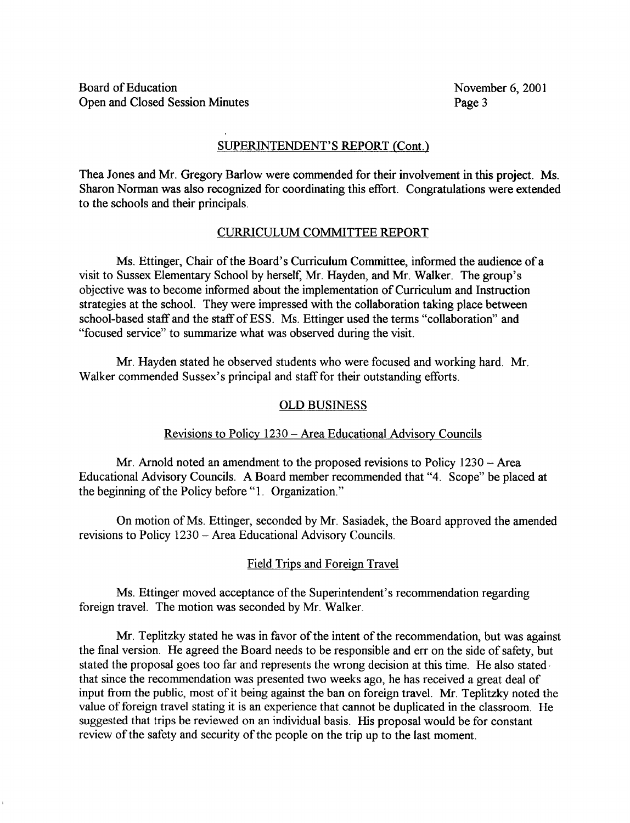## SUPERINTENDENT'S REPORT (Cont.)

Thea Jones and Mr. Gregory Barlow were commended for their involvement in this project. Ms. Sharon Norman was also recognized for coordinating this effort. Congratulations were extended to the schools and their principals.

## CURRICULUM COMMITTEE REPORT

Ms. Ettinger, Chair of the Board's Curriculum Committee, informed the audience of <sup>a</sup> visit to Sussex Elementary School by herself, Mr. Hayden, and Mr. Walker. The group's objective was to become informed about the implementation of Curriculum and Instruction strategies at the school. They were impressed with the collaboration taking place between school-based staff and the staff of ESS. Ms. Ettinger used the terms "collaboration" and "focused service" to summarize what was observed during the visit.

Mr. Hayden stated he observed students who were focused and working hard. Mr. Walker commended Sussex's principal and staff for their outstanding efforts.

#### OLD BUSINESS

## Revisions to Policy 1230 – Area Educational Advisory Councils

Mr. Arnold noted an amendment to the proposed revisions to Policy 1230 – Area Educational Advisory Councils. A Board member recommended that "4. Scope" be placed at the beginning of the Policy before "1. Organization."

On motion of Ms. Ettinger, seconded by Mr. Sasiadek, the Board approved the amended revisions to Policy 1230 - Area Educational Advisory Councils.

#### Field Trips and Foreign Travel

Ms. Ettinger moved acceptance of the Superintendent's recommendation regarding foreign travel. The motion was seconded by Mr. Walker.

Mr. Teplitzky stated he was in favor of the intent of the recommendation, but was against the final version. He agreed the Board needs to be responsible and err on the side of safety, but stated the proposal goes too far and represents the wrong decision at this time. He also stated that since the recommendation was presented two weeks ago, he has received a great deal of input from the public, most of it being against the ban on foreign travel. Mr. Teplitzky noted the value of foreign travel stating it is an experience that cannot be duplicated in the classroom . He suggested that trips be reviewed on an individual basis . His proposal would be for constant review of the safety and security of the people on the trip up to the last moment.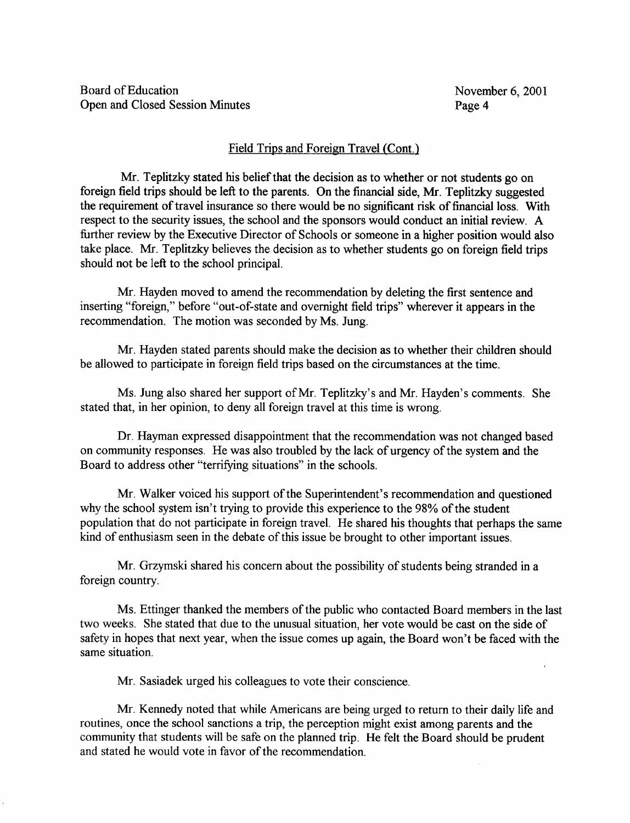## Field Trips and Foreign Travel (Cont.)

Mr. Teplitzky stated his belief that the decision as to whether or not students go on foreign field trips should be left to the parents . On the financial side, Mr. Teplitzky suggested the requirement of travel insurance so there would be no significant risk of financial loss. With respect to the security issues, the school and the sponsors would conduct an initial review. A further review by the Executive Director of Schools or someone in a higher position would also take place. Mr. Teplitzky believes the decision as to whether students go on foreign field trips should not be left to the school principal.

Mr. Hayden moved to amend the recommendation by deleting the first sentence and inserting "foreign," before "out-of-state and overnight field trips" wherever it appears in the recommendation. The motion was seconded by Ms. Jung.

Mr. Hayden stated parents should make the decision as to whether their children should be allowed to participate in foreign field trips based on the circumstances at the time.

Ms. Jung also shared her support of Mr. Teplitzky's and Mr. Hayden's comments. She stated that, in her opinion, to deny all foreign travel at this time is wrong.

Dr. Hayman expressed disappointment that the recommendation was not changed based on community responses. He was also troubled by the lack of urgency of the system and the Board to address other "terrifying situations" in the schools.

Mr. Walker voiced his support of the Superintendent's recommendation and questioned why the school system isn't trying to provide this experience to the 98% of the student population that do not participate in foreign travel. He shared his thoughts that perhaps the same kind of enthusiasm seen in the debate of this issue be brought to other important issues.

Mr. Grzymski shared his concern about the possibility of students being stranded in a foreign country.

Ms. Ettinger thanked the members of the public who contacted Board members in the last two weeks. She stated that due to the unusual situation, her vote would be cast on the side of safety in hopes that next year, when the issue comes up again, the Board won't be faced with the same situation.

Mr. Sasiadek urged his colleagues to vote their conscience.

Mr. Kennedy noted that while Americans are being urged to return to their daily life and routines, once the school sanctions a trip, the perception might exist among parents and the community that students will be safe on the planned trip. He felt the Board should be prudent and stated he would vote in favor of the recommendation.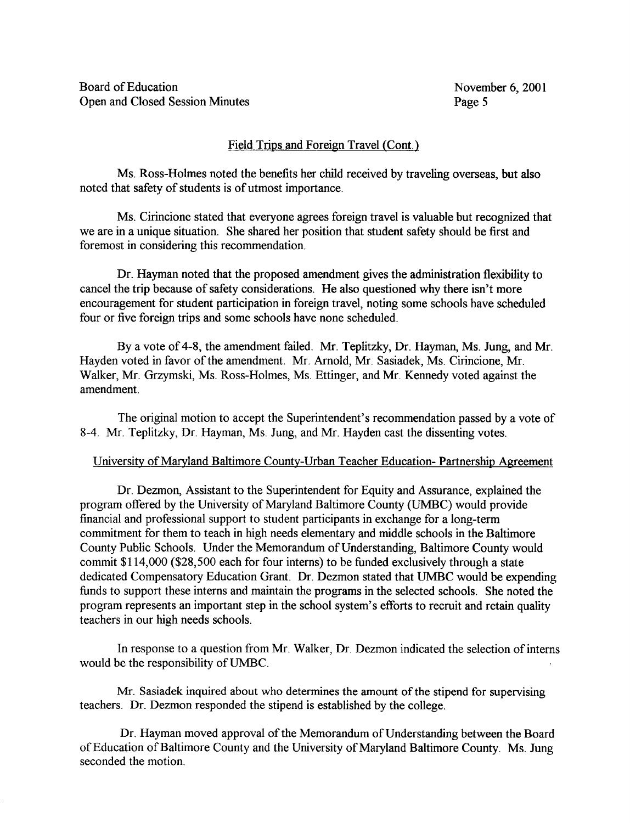## Field Trips and Foreign Travel (Cont.)

Ms. Ross-Holmes noted the benefits her child received by traveling overseas, but also noted that safety of students is of utmost importance.

Ms. Cirincione stated that everyone agrees foreign travel is valuable but recognized that we are in a unique situation. She shared her position that student safety should be first and foremost in considering this recommendation.

Dr. Hayman noted that the proposed amendment gives the administration flexibility to cancel the trip because of safety considerations. He also questioned why there isn't more encouragement for student participation in foreign travel, noting some schools have scheduled four or five foreign trips and some schools have none scheduled.

By a vote of 4-8, the amendment failed. Mr. Teplitzky, Dr. Hayman, Ms. Jung, and Mr. Hayden voted in favor of the amendment. Mr. Arnold, Mr. Sasiadek, Ms. Cirincione, Mr. Walker, Mr. Grzymski, Ms. Ross-Holmes, Ms. Ettinger, and Mr. Kennedy voted against the amendment.

The original motion to accept the Superintendent's recommendation passed by a vote of 8-4 . Mr. Teplitzky, Dr. Hayman, Ms. Jung, and Mr. Hayden cast the dissenting votes.

## University of Maryland Baltimore County-Urban Teacher Education- Partnership Agreement

Dr. Dezmon, Assistant to the Superintendent for Equity and Assurance, explained the program offered by the University of Maryland Baltimore County (UMBC) would provide financial and professional support to student participants in exchange for a long-term commitment for them to teach in high needs elementary and middle schools in the Baltimore County Public Schools. Under the Memorandum of Understanding, Baltimore County would commit \$114,000 (\$28,500 each for four interns) to be funded exclusively through a state dedicated Compensatory Education Grant. Dr. Dezmon stated that UMBC would be expending funds to support these interns and maintain the programs in the selected schools. She noted the program represents an important step in the school system's efforts to recruit and retain quality teachers in our high needs schools.

In response to a question from Mr. Walker, Dr. Dezmon indicated the selection of interns would be the responsibility of UMBC .

Mr. Sasiadek inquired about who determines the amount of the stipend for supervising teachers. Dr. Dezmon responded the stipend is established by the college .

Dr. Hayman moved approval of the Memorandum of Understanding between the Board of Education of Baltimore County and the University of Maryland Baltimore County. Ms. Jung seconded the motion.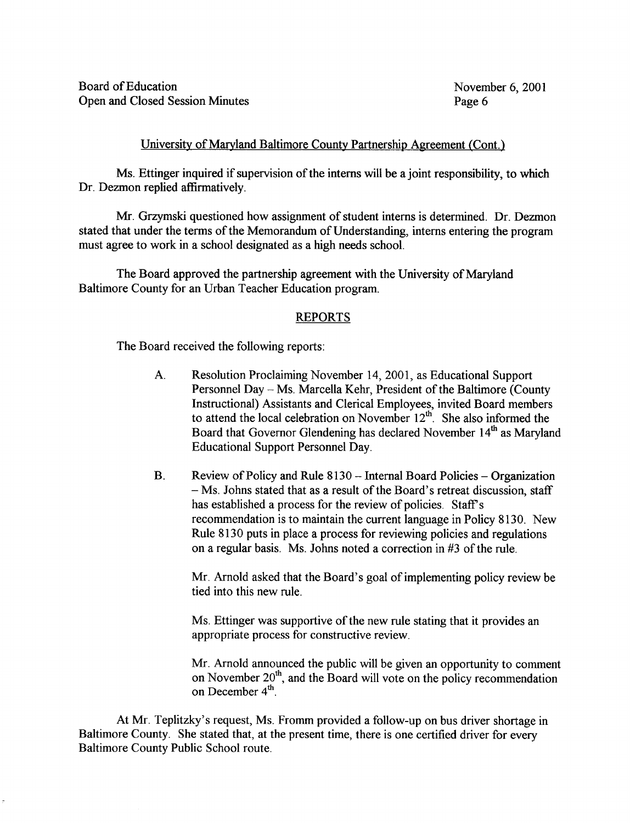#### University of Maryland Baltimore County Partnership Agreement (Cont.)

Ms. Ettinger inquired if supervision of the interns will be a joint responsibility, to which Dr. Dezmon replied affirmatively.

Mr. Grzymski questioned how assignment of student interns is determined . Dr. Dezmon stated that under the terms of the Memorandum of Understanding, interns entering the program must agree to work in a school designated as a high needs school.

The Board approved the partnership agreement with the University of Maryland Baltimore County for an Urban Teacher Education program.

#### REPORTS

The Board received the following reports :

- A. Resolution Proclaiming November 14, 2001, as Educational Support Personnel Day - Ms. Marcella Kehr, President of the Baltimore (County Instructional) Assistants and Clerical Employees, invited Board members to attend the local celebration on November  $12^{\text{th}}$ . She also informed the Board that Governor Glendening has declared November 14<sup>th</sup> as Maryland Educational Support Personnel Day.
- $\mathbf{B}$ . Review of Policy and Rule 8130 - Internal Board Policies - Organization - Ms. Johns stated that as a result of the Board's retreat discussion, staff has established a process for the review of policies. Staff's recommendation is to maintain the current language in Policy 8130. New Rule 8130 puts in place a process for reviewing policies and regulations on a regular basis. Ms. Johns noted a correction in #3 of the rule.

Mr. Arnold asked that the Board's goal of implementing policy review be tied into this new rule.

Ms. Ettinger was supportive of the new rule stating that it provides an appropriate process for constructive review.

Mr. Arnold announced the public will be given an opportunity to comment on November  $20<sup>m</sup>$ , and the Board will vote on the policy recommendation on December  $4^{\circ}$ .

At Mr. Teplitzky's request, Ms. Fromm provided <sup>a</sup> follow-up on bus driver shortage in Baltimore County. She stated that, at the present time, there is one certified driver for every Baltimore County Public School route.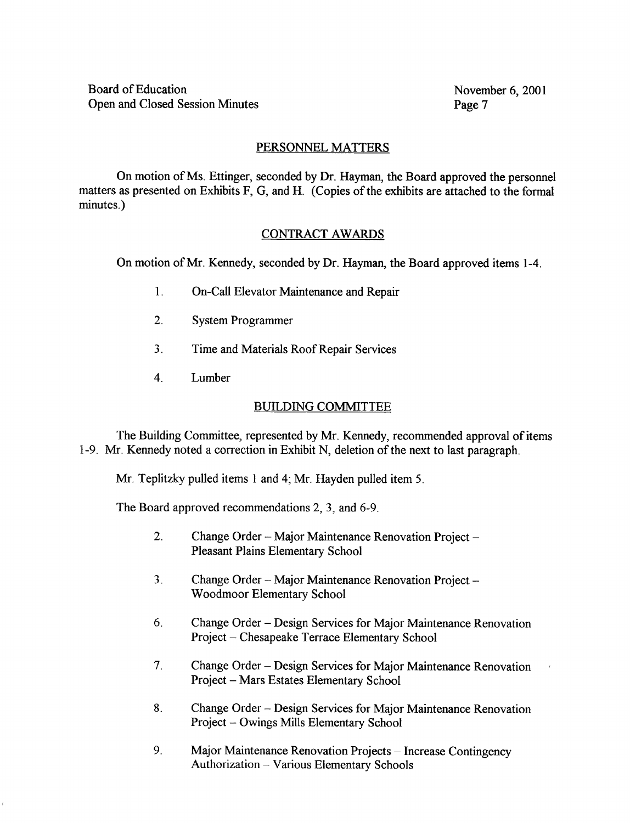## PERSONNEL MATTERS

On motion ofMs. Ettinger, seconded by Dr. Hayman, the Board approved the personnel matters as presented on Exhibits F, G, and H. (Copies of the exhibits are attached to the formal minutes.)

## CONTRACT AWARDS

On motion of Mr. Kennedy, seconded by Dr. Hayman, the Board approved items 1-4.

- 1. On-Call Elevator Maintenance and Repair
- 2. System Programmer
- 3. Time and Materials Roof Repair Services
- 4 . Lumber

## BUILDING COMMITTEE

The Building Committee, represented by Mr. Kennedy, recommended approval of items 1-9. Mr. Kennedy noted <sup>a</sup> correction in Exhibit N, deletion of the next to last paragraph.

Mr. Teplitzky pulled items <sup>I</sup> and 4; Mr. Hayden pulled item 5.

The Board approved recommendations 2, 3, and 6-9 .

- $2.$ Change Order - Major Maintenance Renovation Project -Pleasant Plains Elementary School
- 3. Change Order Major Maintenance Renovation Project Woodmoor Elementary School
- 6. Change Order Design Services for Major Maintenance Renovation Project - Chesapeake Terrace Elementary School
- 7. Change Order Design Services for Major Maintenance Renovation Project - Mars Estates Elementary School
- 8. Change Order Design Services for Major Maintenance Renovation Project - Owings Mills Elementary School
- 9. Major Maintenance Renovation Projects Increase Contingency Authorization - Various Elementary Schools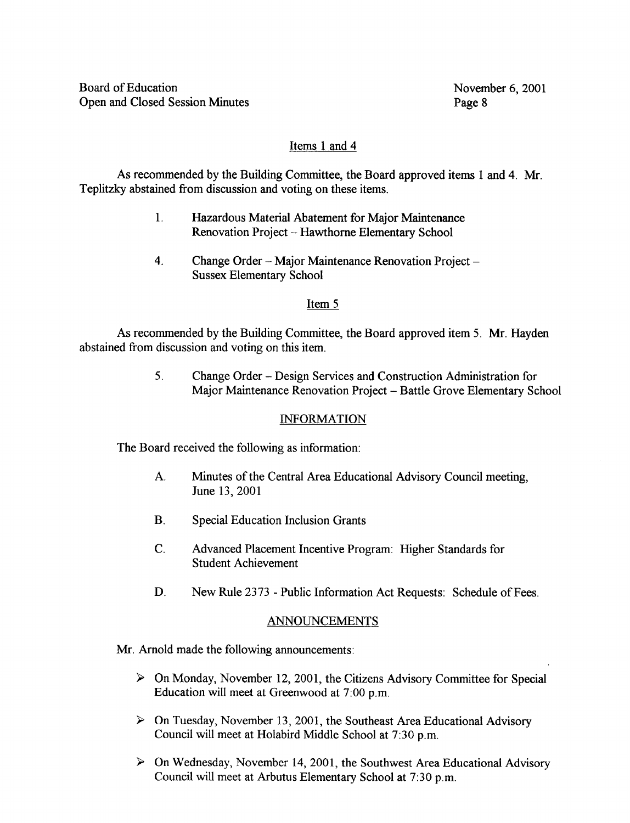# Items <sup>1</sup> and 4

As recommended by the Building Committee, the Board approved items <sup>1</sup> and 4. Mr. Teplitzky abstained from discussion and voting on these items.

- 1. Hazardous Material Abatement for Major Maintenance Renovation Project - Hawthorne Elementary School
- 4. Change Order Major Maintenance Renovation Project Sussex Elementary School

## Item 5

As recommended by the Building Committee, the Board approved item 5. Mr. Hayden abstained from discussion and voting on this item.

> <sup>5</sup> . Change Order - Design Services and Construction Administration for Major Maintenance Renovation Project - Battle Grove Elementary School

## INFORMATION

The Board received the following as information:

- A. Minutes of the Central Area Educational Advisory Council meeting, June 13, 2001
- B. Special Education Inclusion Grants
- C. Advanced Placement Incentive Program: Higher Standards for Student Achievement
- D. New Rule 2373 Public Information Act Requests: Schedule of Fees.

# ANNOUNCEMENTS

Mr. Arnold made the following announcements:

- $\triangleright$  On Monday, November 12, 2001, the Citizens Advisory Committee for Special Education will meet at Greenwood at 7:00 p.m.
- $\triangleright$  On Tuesday, November 13, 2001, the Southeast Area Educational Advisory Council will meet at Holabird Middle School at 7 :30 p.m.
- $\triangleright$  On Wednesday, November 14, 2001, the Southwest Area Educational Advisory Council will meet at Arbutus Elementary School at 7:30 p.m.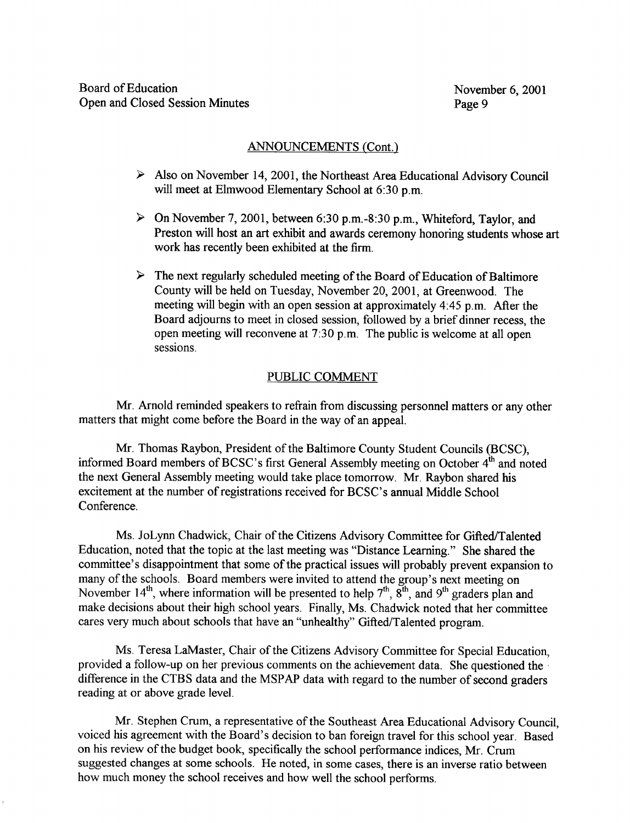## ANNOUNCEMENTS (Cont.)

- $\triangleright$  Also on November 14, 2001, the Northeast Area Educational Advisory Council will meet at Elmwood Elementary School at 6:30 p.m.
- $\triangleright$  On November 7, 2001, between 6:30 p.m.-8:30 p.m., Whiteford, Taylor, and Preston will host an art exhibit and awards ceremony honoring students whose art work has recently been exhibited at the firm.
- $\triangleright$  The next regularly scheduled meeting of the Board of Education of Baltimore County will be held on Tuesday, November 20, 2001, at Greenwood. The meeting will begin with an open session at approximately 4 :45 p.m. After the Board adjourns to meet in closed session, followed by a brief dinner recess, the open meeting will reconvene at 7 :30 p.m. The public is welcome at all open sessions.

#### PUBLIC COMMENT

Mr. Arnold reminded speakers to refrain from discussing personnel matters or any other matters that might come before the Board in the way of an appeal.

Mr. Thomas Raybon, President of the Baltimore County Student Councils (BCSC), informed Board members of BCSC's first General Assembly meeting on October 4<sup>th</sup> and noted the next General Assembly meeting would take place tomorrow. Mr. Raybon shared his excitement at the number of registrations received for BCSC's annual Middle School Conference.

Ms. JoLynn Chadwick, Chair of the Citizens Advisory Committee for Gifted/Talented Education, noted that the topic at the last meeting was "Distance Learning." She shared the committee's disappointment that some of the practical issues will probably prevent expansion to many of the schools. Board members were invited to attend the group's next meeting on November 14<sup>th</sup>, where information will be presented to help  $7<sup>th</sup>$ ,  $8<sup>th</sup>$ , and  $9<sup>th</sup>$  graders plan and make decisions about their high school years. Finally, Ms. Chadwick noted that her committee cares very much about schools that have an "unhealthy" Gifted/Talented program.

Ms. Teresa LaMaster, Chair of the Citizens Advisory Committee for Special Education, provided a follow-up on her previous comments on the achievement data. She questioned the difference in the CTBS data and the MSPAP data with regard to the number of second graders reading at or above grade level.

Mr. Stephen Crum, a representative of the Southeast Area Educational Advisory Council, voiced his agreement with the Board's decision to ban foreign travel for this school year. Based on his review of the budget book, specifically the school performance indices, Mr. Crum suggested changes at some schools. He noted, in some cases, there is an inverse ratio between how much money the school receives and how well the school performs.